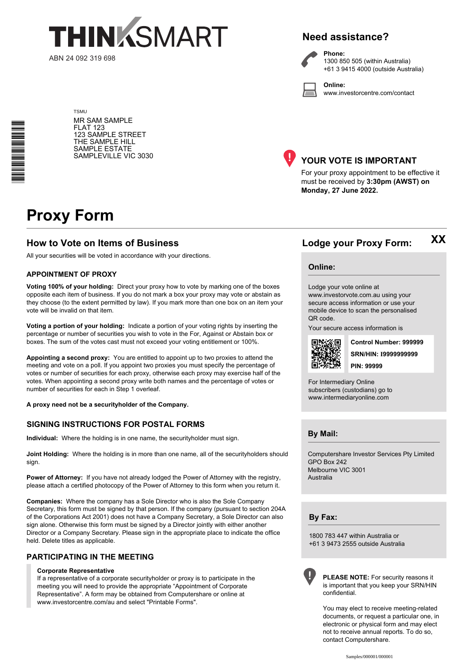

# **Need assistance?**

**Phone:**

1300 850 505 (within Australia) +61 3 9415 4000 (outside Australia)

**Online:** www.investorcentre.com/contact

TSMU MR SAM SAMPLE FLAT 123 123 SAMPLE STREET THE SAMPLE HILL SAMPLE ESTATE SAMPLEVILLE VIC 3030



# **YOUR VOTE IS IMPORTANT**

For your proxy appointment to be effective it must be received by **3:30pm (AWST) on Monday, 27 June 2022.**

# **Proxy Form**

\*<br>\* London<br>Timografia

## **How to Vote on Items of Business Lodge your Proxy Form:**

All your securities will be voted in accordance with your directions.

#### **APPOINTMENT OF PROXY**

**Voting 100% of your holding:** Direct your proxy how to vote by marking one of the boxes opposite each item of business. If you do not mark a box your proxy may vote or abstain as they choose (to the extent permitted by law). If you mark more than one box on an item your vote will be invalid on that item.

**Voting a portion of your holding:** Indicate a portion of your voting rights by inserting the percentage or number of securities you wish to vote in the For, Against or Abstain box or boxes. The sum of the votes cast must not exceed your voting entitlement or 100%.

**Appointing a second proxy:** You are entitled to appoint up to two proxies to attend the meeting and vote on a poll. If you appoint two proxies you must specify the percentage of votes or number of securities for each proxy, otherwise each proxy may exercise half of the votes. When appointing a second proxy write both names and the percentage of votes or number of securities for each in Step 1 overleaf.

**A proxy need not be a securityholder of the Company.**

#### **SIGNING INSTRUCTIONS FOR POSTAL FORMS**

**Individual:** Where the holding is in one name, the securityholder must sign.

**Joint Holding:** Where the holding is in more than one name, all of the securityholders should sign.

Power of Attorney: If you have not already lodged the Power of Attorney with the registry, please attach a certified photocopy of the Power of Attorney to this form when you return it.

**Companies:** Where the company has a Sole Director who is also the Sole Company Secretary, this form must be signed by that person. If the company (pursuant to section 204A of the Corporations Act 2001) does not have a Company Secretary, a Sole Director can also sign alone. Otherwise this form must be signed by a Director jointly with either another Director or a Company Secretary. Please sign in the appropriate place to indicate the office held. Delete titles as applicable.

### **PARTICIPATING IN THE MEETING**

#### **Corporate Representative**

If a representative of a corporate securityholder or proxy is to participate in the meeting you will need to provide the appropriate "Appointment of Corporate Representative". A form may be obtained from Computershare or online at www.investorcentre.com/au and select "Printable Forms".

**Online:**

#### Lodge your vote online at

www.investorvote.com.au using your secure access information or use your mobile device to scan the personalised QR code.

Your secure access information is



**SRN/HIN: I9999999999 Control Number: 999999 PIN: 99999**

**XX**

For Intermediary Online subscribers (custodians) go to www.intermediaryonline.com

**By Mail:**

Computershare Investor Services Pty Limited GPO Box 242 Melbourne VIC 3001 Australia

**By Fax:**

1800 783 447 within Australia or +61 3 9473 2555 outside Australia



**PLEASE NOTE:** For security reasons it is important that you keep your SRN/HIN confidential.

You may elect to receive meeting-related documents, or request a particular one, in electronic or physical form and may elect not to receive annual reports. To do so, contact Computershare.